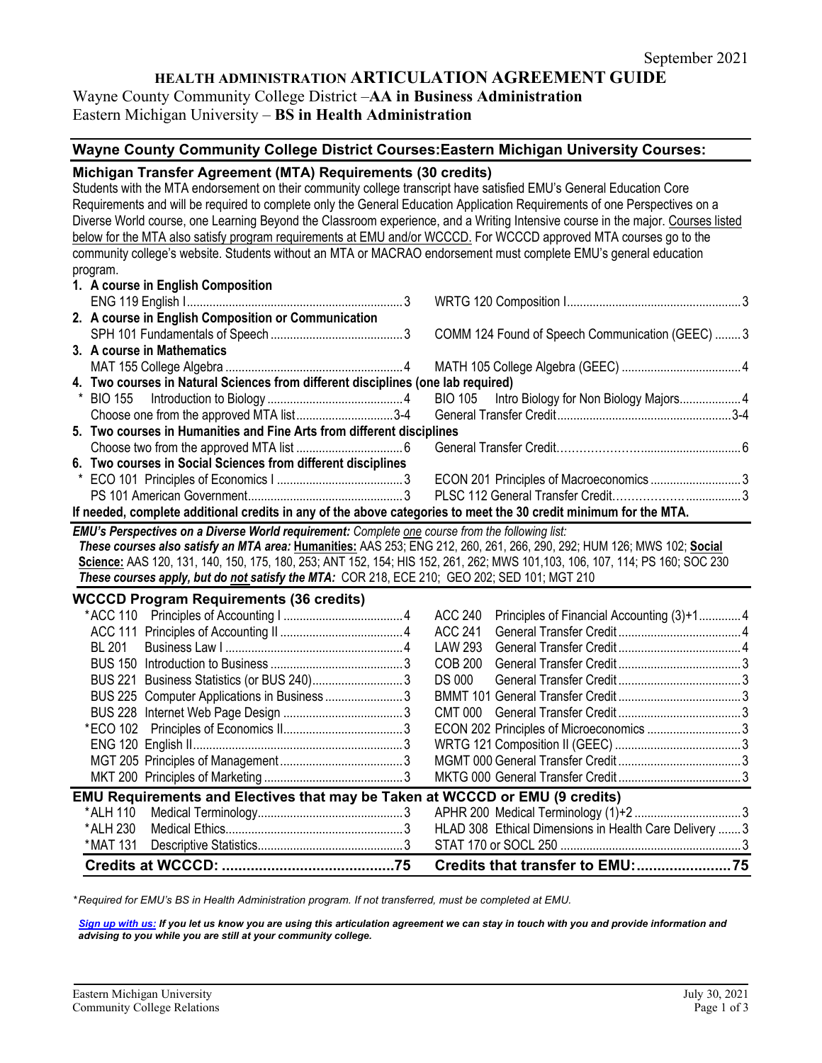## **HEALTH ADMINISTRATION ARTICULATION AGREEMENT GUIDE**

# Wayne County Community College District –**AA in Business Administration**

Eastern Michigan University – **BS in Health Administration**

## **Wayne County Community College District Courses:Eastern Michigan University Courses:**

#### **Michigan Transfer Agreement (MTA) Requirements (30 credits)**

Students with the MTA endorsement on their community college transcript have satisfied EMU's General Education Core Requirements and will be required to complete only the General Education Application Requirements of one Perspectives on a Diverse World course, one Learning Beyond the Classroom experience, and a Writing Intensive course in the major. Courses listed below for the MTA also satisfy program requirements at EMU and/or WCCCD. For WCCCD approved MTA courses go to the community college's website. Students without an MTA or MACRAO endorsement must complete EMU's general education program.

| 1. A course in English Composition                                                                               |  |  |  |  |  |
|------------------------------------------------------------------------------------------------------------------|--|--|--|--|--|
|                                                                                                                  |  |  |  |  |  |
| 2. A course in English Composition or Communication                                                              |  |  |  |  |  |
|                                                                                                                  |  |  |  |  |  |
| 3. A course in Mathematics                                                                                       |  |  |  |  |  |
|                                                                                                                  |  |  |  |  |  |
| 4. Two courses in Natural Sciences from different disciplines (one lab required)                                 |  |  |  |  |  |
|                                                                                                                  |  |  |  |  |  |
|                                                                                                                  |  |  |  |  |  |
| 5. Two courses in Humanities and Fine Arts from different disciplines                                            |  |  |  |  |  |
|                                                                                                                  |  |  |  |  |  |
| 6. Two courses in Social Sciences from different disciplines                                                     |  |  |  |  |  |
|                                                                                                                  |  |  |  |  |  |
|                                                                                                                  |  |  |  |  |  |
| If needed, complete additional credits in any of the above categories to meet the 30 credit minimum for the MTA. |  |  |  |  |  |

*EMU's Perspectives on a Diverse World requirement: Complete one course from the following list:* 

*These courses also satisfy an MTA area:* **Humanities:** AAS 253; ENG 212, 260, 261, 266, 290, 292; HUM 126; MWS 102; **Social Science:** AAS 120, 131, 140, 150, 175, 180, 253; ANT 152, 154; HIS 152, 261, 262; MWS 101,103, 106, 107, 114; PS 160; SOC 230 *These courses apply, but do not satisfy the MTA:* COR 218, ECE 210; GEO 202; SED 101; MGT 210

**WCCCD Program Requirements (36 credits)**

| *MAT 131 |                                                                                     |  |         |                                                        |  |  |  |  |
|----------|-------------------------------------------------------------------------------------|--|---------|--------------------------------------------------------|--|--|--|--|
| *ALH 230 |                                                                                     |  |         | HLAD 308 Ethical Dimensions in Health Care Delivery  3 |  |  |  |  |
| *ALH 110 |                                                                                     |  |         |                                                        |  |  |  |  |
|          | <b>EMU Requirements and Electives that may be Taken at WCCCD or EMU (9 credits)</b> |  |         |                                                        |  |  |  |  |
|          |                                                                                     |  |         |                                                        |  |  |  |  |
|          |                                                                                     |  |         |                                                        |  |  |  |  |
|          |                                                                                     |  |         |                                                        |  |  |  |  |
|          |                                                                                     |  |         | ECON 202 Principles of Microeconomics 3                |  |  |  |  |
|          |                                                                                     |  |         |                                                        |  |  |  |  |
|          | BUS 225 Computer Applications in Business 3                                         |  |         |                                                        |  |  |  |  |
|          |                                                                                     |  | DS 000  |                                                        |  |  |  |  |
|          |                                                                                     |  | COB 200 |                                                        |  |  |  |  |
| BL 201   |                                                                                     |  | LAW 293 |                                                        |  |  |  |  |
|          |                                                                                     |  | ACC 241 |                                                        |  |  |  |  |
|          |                                                                                     |  | ACC 240 | Principles of Financial Accounting (3)+14              |  |  |  |  |

*\* Required for EMU's BS in Health Administration program. If not transferred, must be completed at EMU.* 

*[Sign up with us:](https://www.emich.edu/ccr/articulation-agreements/signup.php) If you let us know you are using this articulation agreement we can stay in touch with you and provide information and advising to you while you are still at your community college.*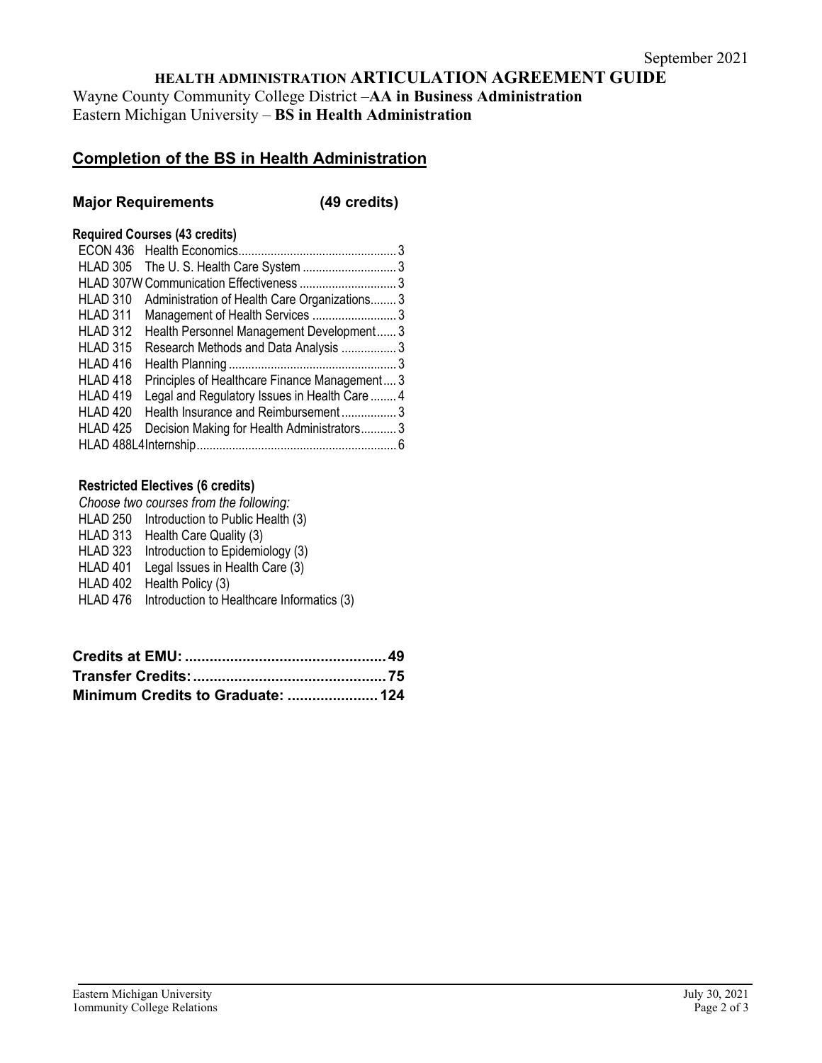# **HEALTH ADMINISTRATION ARTICULATION AGREEMENT GUIDE**

Wayne County Community College District –**AA in Business Administration**  Eastern Michigan University – **BS in Health Administration**

# **Completion of the BS in Health Administration**

## **Major Requirements (49 credits)**

#### **Required Courses (43 credits)**

| <b>HLAD 305</b>     |                                               |  |
|---------------------|-----------------------------------------------|--|
|                     |                                               |  |
| <b>HLAD 310</b>     | Administration of Health Care Organizations3  |  |
| HLAD 311            | Management of Health Services 3               |  |
| <b>HLAD 312</b>     | Health Personnel Management Development3      |  |
| <b>HLAD 315</b>     | Research Methods and Data Analysis 3          |  |
| HLAD 416            |                                               |  |
| HLAD <sub>418</sub> | Principles of Healthcare Finance Management 3 |  |
| HLAD <sub>419</sub> | Legal and Regulatory Issues in Health Care  4 |  |
| HLAD 420            | Health Insurance and Reimbursement3           |  |
| HLAD <sub>425</sub> | Decision Making for Health Administrators3    |  |
|                     |                                               |  |
|                     |                                               |  |

### **Restricted Electives (6 credits)**

|          | Choose two courses from the following:              |
|----------|-----------------------------------------------------|
|          | HLAD 250 Introduction to Public Health (3)          |
|          | HLAD 313 Health Care Quality (3)                    |
|          | HLAD 323 Introduction to Epidemiology (3)           |
| HLAD 401 | Legal Issues in Health Care (3)                     |
| HLAD 402 | Health Policy (3)                                   |
|          | HLAD 476 Introduction to Healthcare Informatics (3) |

| Minimum Credits to Graduate:  124 |  |
|-----------------------------------|--|